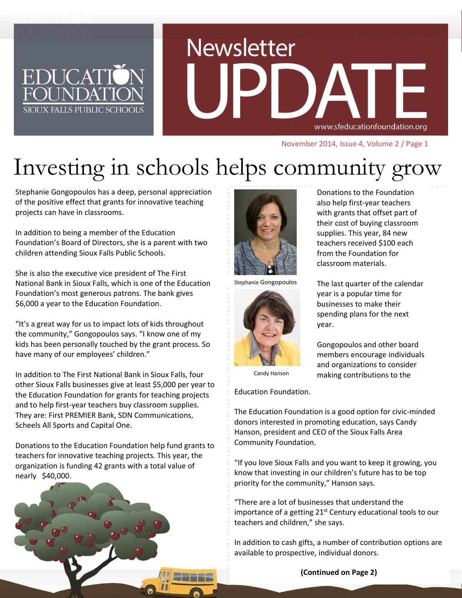# **Newsletter** www.sfeducationfoundation.org

November 2014, Issue 4, Volume 2 / Page 1

## Investing in schools helps community grow

Stephanie Gongopoulos has a deep, personal appreciation of the positive effect that grants for innovative teaching projects can have in classrooms.

**EDUCAT** 

FOI INDA

SIOUX FALLS PUBLIC SCHOOL

In addition to being a member of the Education Foundation's Board of Directors, she is a parent with two children attending Sioux Falls Public Schools.

She is also the executive vice president of The First National Bank in Sioux Falls, which is one of the Education Foundation's most generous patrons. The bank gives \$6,000 a year to the Education Foundation.

"It's a great way for us to impact lots of kids throughout the community," Gongopoulos says. "I know one of my kids has been personally touched by the grant process. So have many of our employees' children."

In addition to The First National Bank in Sioux Falls, four other Sioux Falls businesses give at least \$5,000 per year to the Education Foundation for grants for teaching projects and to help first-year teachers buy classroom supplies. They are: First PREMIER Bank, SDN Communications, Scheels All Sports and Capital One.

Donations to the Education Foundation help fund grants to teachers for innovative teaching projects. This year, the organization is funding 42 grants with a total value of nearly \$40,000.





Stephanie Gongopoulos



Donations to the Foundation also help first-year teachers with grants that offset part of their cost of buying classroom supplies. This year, 84 new teachers received \$100 each from the Foundation for classroom materials.

The last quarter of the calendar year is a popular time for businesses to make their spending plans for the next year.

Gongopoulos and other board members encourage individuals and organizations to consider making contributions to the

Candy Hanson

Education Foundation.

The Education Foundation is a good option for civic-minded donors interested in promoting education, says Candy Hanson, president and CEO of the Sioux Falls Area Community Foundation.

"If you love Sioux Falls and you want to keep it growing, you know that investing in our children's future has to be top priority for the community," Hanson says.

"There are a lot of businesses that understand the importance of a getting  $21^{st}$  Century educational tools to our teachers and children," she says.

In addition to cash gifts, a number of contribution options are available to prospective, individual donors.

**(Continued on Page 2)**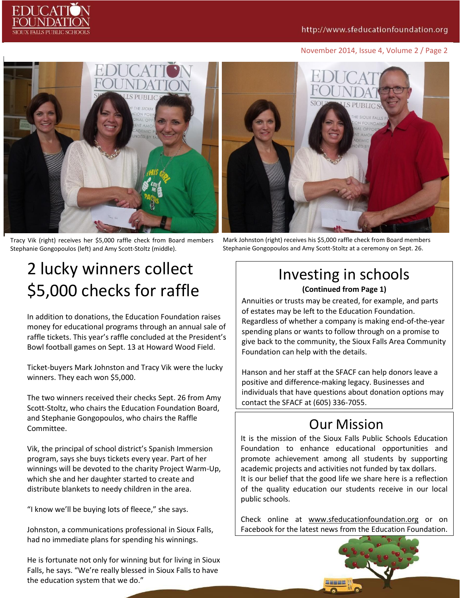#### November 2014, Issue 4, Volume 2 / Page 2



Tracy Vik (right) receives her \$5,000 raffle check from Board members Stephanie Gongopoulos (left) and Amy Scott-Stoltz (middle).

Mark Johnston (right) receives his \$5,000 raffle check from Board members Stephanie Gongopoulos and Amy Scott-Stoltz at a ceremony on Sept. 26.

### 2 lucky winners collect \$5,000 checks for raffle

In addition to donations, the Education Foundation raises money for educational programs through an annual sale of raffle tickets. This year's raffle concluded at the President's Bowl football games on Sept. 13 at Howard Wood Field.

Ticket-buyers Mark Johnston and Tracy Vik were the lucky winners. They each won \$5,000.

The two winners received their checks Sept. 26 from Amy Scott-Stoltz, who chairs the Education Foundation Board, and Stephanie Gongopoulos, who chairs the Raffle Committee.

Vik, the principal of school district's Spanish Immersion program, says she buys tickets every year. Part of her winnings will be devoted to the charity Project Warm-Up, which she and her daughter started to create and distribute blankets to needy children in the area.

"I know we'll be buying lots of fleece," she says.

Johnston, a communications professional in Sioux Falls, had no immediate plans for spending his winnings.

He is fortunate not only for winning but for living in Sioux Falls, he says. "We're really blessed in Sioux Falls to have the education system that we do."

#### Investing in schools **(Continued from Page 1)**

Annuities or trusts may be created, for example, and parts of estates may be left to the Education Foundation. Regardless of whether a company is making end-of-the-year spending plans or wants to follow through on a promise to give back to the community, the Sioux Falls Area Community Foundation can help with the details.

Hanson and her staff at the SFACF can help donors leave a positive and difference-making legacy. Businesses and individuals that have questions about donation options may contact the SFACF at (605) 336-7055.

#### Our Mission

It is the mission of the Sioux Falls Public Schools Education Foundation to enhance educational opportunities and promote achievement among all students by supporting academic projects and activities not funded by tax dollars. It is our belief that the good life we share here is a reflection of the quality education our students receive in our local public schools.

Check online at [www.sfeducationfoundation.org](http://www.sfeducationfoundation.org/) or on Facebook for the latest news from the Education Foundation.

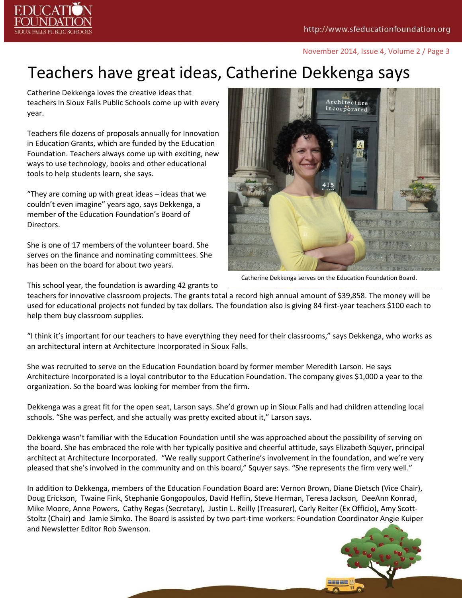

#### November 2014, Issue 4, Volume 2 / Page 3

#### Teachers have great ideas, Catherine Dekkenga says

Catherine Dekkenga loves the creative ideas that teachers in Sioux Falls Public Schools come up with every year.

Teachers file dozens of proposals annually for Innovation in Education Grants, which are funded by the Education Foundation. Teachers always come up with exciting, new ways to use technology, books and other educational tools to help students learn, she says.

"They are coming up with great ideas – ideas that we couldn't even imagine" years ago, says Dekkenga, a member of the Education Foundation's Board of Directors.

She is one of 17 members of the volunteer board. She serves on the finance and nominating committees. She has been on the board for about two years.



Catherine Dekkenga serves on the Education Foundation Board.

This school year, the foundation is awarding 42 grants to

teachers for innovative classroom projects. The grants total a record high annual amount of \$39,858. The money will be used for educational projects not funded by tax dollars. The foundation also is giving 84 first-year teachers \$100 each to help them buy classroom supplies.

"I think it's important for our teachers to have everything they need for their classrooms," says Dekkenga, who works as an architectural intern at Architecture Incorporated in Sioux Falls.

She was recruited to serve on the Education Foundation board by former member Meredith Larson. He says Architecture Incorporated is a loyal contributor to the Education Foundation. The company gives \$1,000 a year to the organization. So the board was looking for member from the firm.

Dekkenga was a great fit for the open seat, Larson says. She'd grown up in Sioux Falls and had children attending local schools. "She was perfect, and she actually was pretty excited about it," Larson says.

Dekkenga wasn't familiar with the Education Foundation until she was approached about the possibility of serving on the board. She has embraced the role with her typically positive and cheerful attitude, says Elizabeth Squyer, principal architect at Architecture Incorporated. "We really support Catherine's involvement in the foundation, and we're very pleased that she's involved in the community and on this board," Squyer says. "She represents the firm very well."

In addition to Dekkenga, members of the Education Foundation Board are: Vernon Brown, Diane Dietsch (Vice Chair), Doug Erickson, Twaine Fink, Stephanie Gongopoulos, David Heflin, Steve Herman, Teresa Jackson, DeeAnn Konrad, Mike Moore, Anne Powers, Cathy Regas (Secretary), Justin L. Reilly (Treasurer), Carly Reiter (Ex Officio), Amy Scott-Stoltz (Chair) and Jamie Simko. The Board is assisted by two part-time workers: Foundation Coordinator Angie Kuiper and Newsletter Editor Rob Swenson.